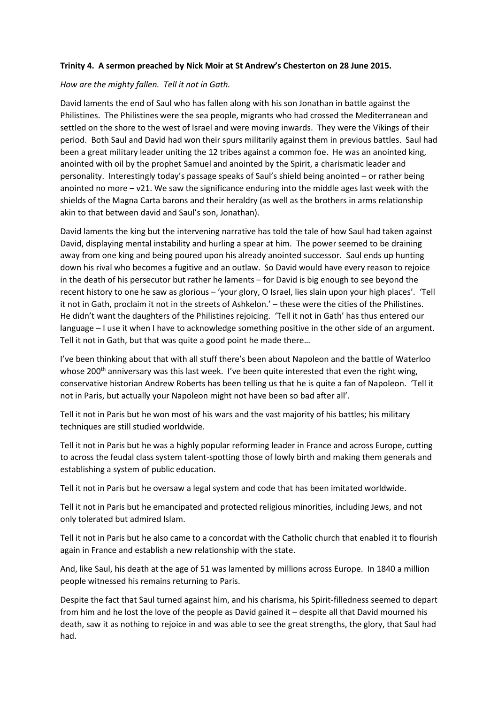## **Trinity 4. A sermon preached by Nick Moir at St Andrew's Chesterton on 28 June 2015.**

## *How are the mighty fallen. Tell it not in Gath.*

David laments the end of Saul who has fallen along with his son Jonathan in battle against the Philistines. The Philistines were the sea people, migrants who had crossed the Mediterranean and settled on the shore to the west of Israel and were moving inwards. They were the Vikings of their period. Both Saul and David had won their spurs militarily against them in previous battles. Saul had been a great military leader uniting the 12 tribes against a common foe. He was an anointed king, anointed with oil by the prophet Samuel and anointed by the Spirit, a charismatic leader and personality. Interestingly today's passage speaks of Saul's shield being anointed – or rather being anointed no more  $-\nu$ 21. We saw the significance enduring into the middle ages last week with the shields of the Magna Carta barons and their heraldry (as well as the brothers in arms relationship akin to that between david and Saul's son, Jonathan).

David laments the king but the intervening narrative has told the tale of how Saul had taken against David, displaying mental instability and hurling a spear at him. The power seemed to be draining away from one king and being poured upon his already anointed successor. Saul ends up hunting down his rival who becomes a fugitive and an outlaw. So David would have every reason to rejoice in the death of his persecutor but rather he laments – for David is big enough to see beyond the recent history to one he saw as glorious – 'your glory, O Israel, lies slain upon your high places'. 'Tell it not in Gath, proclaim it not in the streets of Ashkelon.' – these were the cities of the Philistines. He didn't want the daughters of the Philistines rejoicing. 'Tell it not in Gath' has thus entered our language – I use it when I have to acknowledge something positive in the other side of an argument. Tell it not in Gath, but that was quite a good point he made there…

I've been thinking about that with all stuff there's been about Napoleon and the battle of Waterloo whose 200<sup>th</sup> anniversary was this last week. I've been quite interested that even the right wing, conservative historian Andrew Roberts has been telling us that he is quite a fan of Napoleon. 'Tell it not in Paris, but actually your Napoleon might not have been so bad after all'.

Tell it not in Paris but he won most of his wars and the vast majority of his battles; his military techniques are still studied worldwide.

Tell it not in Paris but he was a highly popular reforming leader in France and across Europe, cutting to across the feudal class system talent-spotting those of lowly birth and making them generals and establishing a system of public education.

Tell it not in Paris but he oversaw a legal system and code that has been imitated worldwide.

Tell it not in Paris but he emancipated and protected religious minorities, including Jews, and not only tolerated but admired Islam.

Tell it not in Paris but he also came to a concordat with the Catholic church that enabled it to flourish again in France and establish a new relationship with the state.

And, like Saul, his death at the age of 51 was lamented by millions across Europe. In 1840 a million people witnessed his remains returning to Paris.

Despite the fact that Saul turned against him, and his charisma, his Spirit-filledness seemed to depart from him and he lost the love of the people as David gained it – despite all that David mourned his death, saw it as nothing to rejoice in and was able to see the great strengths, the glory, that Saul had had.